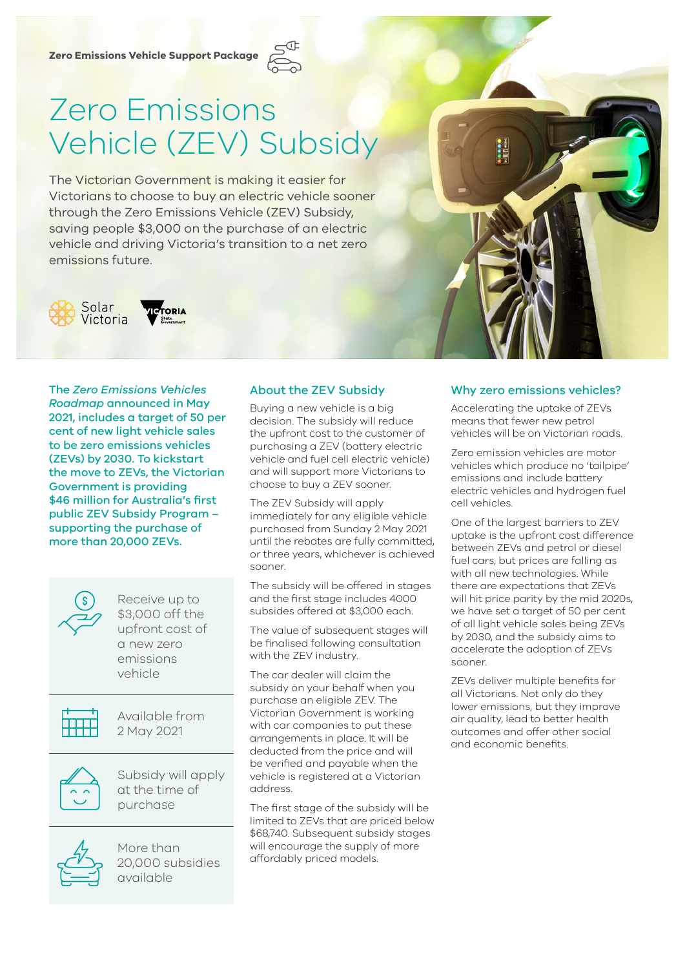

# Zero Emissions Vehicle (ZEV) Subsidy

The Victorian Government is making it easier for Victorians to choose to buy an electric vehicle sooner through the Zero Emissions Vehicle (ZEV) Subsidy, saving people \$3,000 on the purchase of an electric vehicle and driving Victoria's transition to a net zero emissions future.



.<br>IORIA

The *Zero Emissions Vehicles Roadmap* announced in May 2021, includes a target of 50 per cent of new light vehicle sales to be zero emissions vehicles (ZEVs) by 2030. To kickstart the move to ZEVs, the Victorian Government is providing \$46 million for Australia's first public ZEV Subsidy Program – supporting the purchase of more than 20,000 ZEVs.



Receive up to \$3,000 off the upfront cost of a new zero emissions vehicle



Available from 2 May 2021



Subsidy will apply at the time of purchase



More than 20,000 subsidies available

## About the ZEV Subsidy

Buying a new vehicle is a big decision. The subsidy will reduce the upfront cost to the customer of purchasing a ZEV (battery electric vehicle and fuel cell electric vehicle) and will support more Victorians to choose to buy a ZEV sooner.

The ZEV Subsidy will apply immediately for any eligible vehicle purchased from Sunday 2 May 2021 until the rebates are fully committed, or three years, whichever is achieved sooner.

The subsidy will be offered in stages and the first stage includes 4000 subsides offered at \$3,000 each.

The value of subsequent stages will be finalised following consultation with the ZEV industry.

The car dealer will claim the subsidy on your behalf when you purchase an eligible ZEV. The Victorian Government is working with car companies to put these arrangements in place. It will be deducted from the price and will be verified and payable when the vehicle is registered at a Victorian address.

The first stage of the subsidy will be limited to ZEVs that are priced below \$68,740. Subsequent subsidy stages will encourage the supply of more affordably priced models.

#### Why zero emissions vehicles?

Accelerating the uptake of ZEVs means that fewer new petrol vehicles will be on Victorian roads.

Zero emission vehicles are motor vehicles which produce no 'tailpipe' emissions and include battery electric vehicles and hydrogen fuel cell vehicles.

One of the largest barriers to ZEV uptake is the upfront cost difference between ZEVs and petrol or diesel fuel cars, but prices are falling as with all new technologies. While there are expectations that ZEVs will hit price parity by the mid 2020s, we have set a target of 50 per cent of all light vehicle sales being ZEVs by 2030, and the subsidy aims to accelerate the adoption of ZEVs sooner.

ZEVs deliver multiple benefits for all Victorians. Not only do they lower emissions, but they improve air quality, lead to better health outcomes and offer other social and economic benefits.